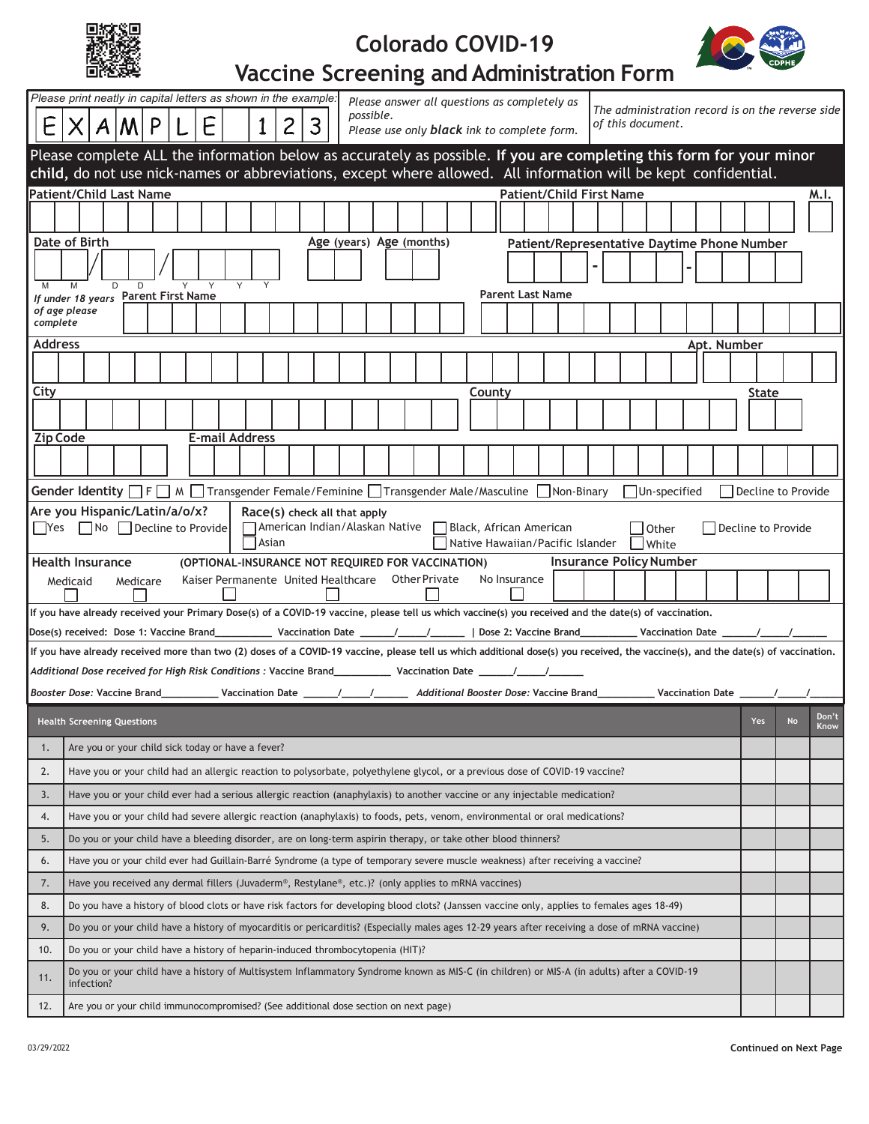| ą. |
|----|
|----|

## **Colorado COVID-19**



## **Vaccine Screening and Administration Form**

| possible.<br>3<br>E<br>$X$ $A$ $M$ $P$<br>of this document.                                                                                                                                                                            | The administration record is on the reverse side |                            |  |  |  |  |
|----------------------------------------------------------------------------------------------------------------------------------------------------------------------------------------------------------------------------------------|--------------------------------------------------|----------------------------|--|--|--|--|
| Please use only <b>black</b> ink to complete form.                                                                                                                                                                                     |                                                  |                            |  |  |  |  |
| Please complete ALL the information below as accurately as possible. If you are completing this form for your minor<br>child, do not use nick-names or abbreviations, except where allowed. All information will be kept confidential. |                                                  |                            |  |  |  |  |
| <b>Patient/Child First Name</b><br><b>Patient/Child Last Name</b><br>M.I.                                                                                                                                                              |                                                  |                            |  |  |  |  |
|                                                                                                                                                                                                                                        |                                                  |                            |  |  |  |  |
| Date of Birth<br>Age (years) Age (months)<br>Patient/Representative Daytime Phone Number                                                                                                                                               |                                                  |                            |  |  |  |  |
|                                                                                                                                                                                                                                        |                                                  |                            |  |  |  |  |
| D<br>Y<br>D<br>M<br><b>Parent Last Name</b><br>If under 18 years Parent First Name                                                                                                                                                     |                                                  |                            |  |  |  |  |
| of age please<br>complete                                                                                                                                                                                                              |                                                  |                            |  |  |  |  |
| <b>Address</b>                                                                                                                                                                                                                         | Apt. Number                                      |                            |  |  |  |  |
|                                                                                                                                                                                                                                        |                                                  |                            |  |  |  |  |
| City<br>Countv                                                                                                                                                                                                                         | State                                            |                            |  |  |  |  |
|                                                                                                                                                                                                                                        |                                                  |                            |  |  |  |  |
| <b>Zip Code</b><br><b>E-mail Address</b>                                                                                                                                                                                               |                                                  |                            |  |  |  |  |
|                                                                                                                                                                                                                                        |                                                  |                            |  |  |  |  |
| Gender Identity □ F □ M □ Transgender Female/Feminine □ Transgender Male/Masculine □ Non-Binary<br>Un-specified<br>Decline to Provide                                                                                                  |                                                  |                            |  |  |  |  |
| Are you Hispanic/Latin/a/o/x?<br>Race(s) check all that apply                                                                                                                                                                          |                                                  |                            |  |  |  |  |
| □Yes □No □Decline to Provide □American Indian/Alaskan Native □Black, African American<br><b>Other</b><br>Decline to Provide<br>  Asian<br>Native Hawaiian/Pacific Islander Nhite                                                       |                                                  |                            |  |  |  |  |
| <b>Insurance Policy Number</b><br><b>Health Insurance</b><br>(OPTIONAL-INSURANCE NOT REQUIRED FOR VACCINATION)                                                                                                                         |                                                  |                            |  |  |  |  |
| Kaiser Permanente United Healthcare Other Private<br>No Insurance<br>Medicaid<br>Medicare                                                                                                                                              |                                                  |                            |  |  |  |  |
| If you have already received your Primary Dose(s) of a COVID-19 vaccine, please tell us which vaccine(s) you received and the date(s) of vaccination.                                                                                  |                                                  |                            |  |  |  |  |
| Dose(s) received: Dose 1: Vaccine Brand____________ Vaccination Date ______/__________  Dose 2: Vaccine Brand____________Vaccination Date _______/_____/________                                                                       |                                                  |                            |  |  |  |  |
| If you have already received more than two (2) doses of a COVID-19 vaccine, please tell us which additional dose(s) you received, the vaccine(s), and the date(s) of vaccination.                                                      |                                                  |                            |  |  |  |  |
|                                                                                                                                                                                                                                        |                                                  |                            |  |  |  |  |
|                                                                                                                                                                                                                                        |                                                  |                            |  |  |  |  |
| Booster Dose: Vaccine Brand____________Vaccination Date _______/_________________ Additional Booster Dose: Vaccine Brand______________Vaccination Date ________/                                                                       |                                                  |                            |  |  |  |  |
| <b>Health Screening Questions</b>                                                                                                                                                                                                      | Yes                                              | Don't<br><b>No</b><br>Know |  |  |  |  |
| Are you or your child sick today or have a fever?<br>1.                                                                                                                                                                                |                                                  |                            |  |  |  |  |
| Have you or your child had an allergic reaction to polysorbate, polyethylene glycol, or a previous dose of COVID-19 vaccine?<br>2.                                                                                                     |                                                  |                            |  |  |  |  |
| Have you or your child ever had a serious allergic reaction (anaphylaxis) to another vaccine or any injectable medication?<br>3.                                                                                                       |                                                  |                            |  |  |  |  |
| Have you or your child had severe allergic reaction (anaphylaxis) to foods, pets, venom, environmental or oral medications?<br>4.                                                                                                      |                                                  |                            |  |  |  |  |
| Do you or your child have a bleeding disorder, are on long-term aspirin therapy, or take other blood thinners?<br>5.                                                                                                                   |                                                  |                            |  |  |  |  |
| Have you or your child ever had Guillain-Barré Syndrome (a type of temporary severe muscle weakness) after receiving a vaccine?<br>6.                                                                                                  |                                                  |                            |  |  |  |  |
| 7.<br>Have you received any dermal fillers (Juvaderm®, Restylane®, etc.)? (only applies to mRNA vaccines)                                                                                                                              |                                                  |                            |  |  |  |  |
| 8.<br>Do you have a history of blood clots or have risk factors for developing blood clots? (Janssen vaccine only, applies to females ages 18-49)                                                                                      |                                                  |                            |  |  |  |  |
| Do you or your child have a history of myocarditis or pericarditis? (Especially males ages 12-29 years after receiving a dose of mRNA vaccine)<br>9.                                                                                   |                                                  |                            |  |  |  |  |
| Do you or your child have a history of heparin-induced thrombocytopenia (HIT)?<br>10.                                                                                                                                                  |                                                  |                            |  |  |  |  |
| Do you or your child have a history of Multisystem Inflammatory Syndrome known as MIS-C (in children) or MIS-A (in adults) after a COVID-19<br>11.<br>infection?                                                                       |                                                  |                            |  |  |  |  |